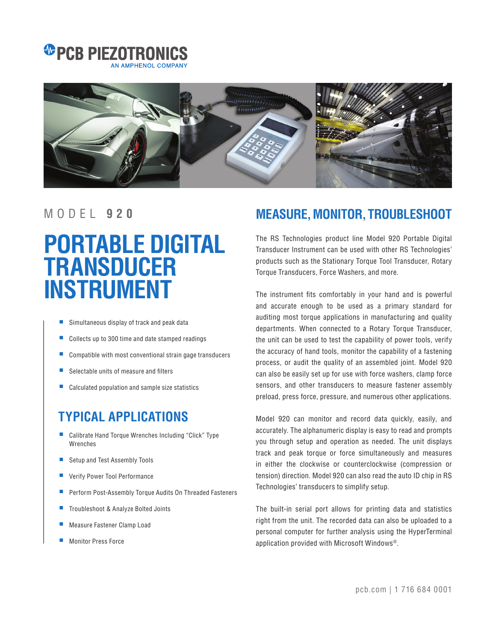



## **PORTABLE DIGITAL TRANSDUCER INSTRUMENT**

- Simultaneous display of track and peak data
- Collects up to 300 time and date stamped readings
- Compatible with most conventional strain gage transducers
- Selectable units of measure and filters
- Calculated population and sample size statistics

## **TYPICAL APPLICATIONS**

- Calibrate Hand Torque Wrenches Including "Click" Type Wrenches
- Setup and Test Assembly Tools
- Verify Power Tool Performance
- Perform Post-Assembly Torque Audits On Threaded Fasteners
- Troubleshoot & Analyze Bolted Joints
- Measure Fastener Clamp Load
- Monitor Press Force

## MODEL **9 2 0 MEASURE, MONITOR, TROUBLESHOOT**

The RS Technologies product line Model 920 Portable Digital Transducer Instrument can be used with other RS Technologies' products such as the Stationary Torque Tool Transducer, Rotary Torque Transducers, Force Washers, and more.

The instrument fits comfortably in your hand and is powerful and accurate enough to be used as a primary standard for auditing most torque applications in manufacturing and quality departments. When connected to a Rotary Torque Transducer, the unit can be used to test the capability of power tools, verify the accuracy of hand tools, monitor the capability of a fastening process, or audit the quality of an assembled joint. Model 920 can also be easily set up for use with force washers, clamp force sensors, and other transducers to measure fastener assembly preload, press force, pressure, and numerous other applications.

Model 920 can monitor and record data quickly, easily, and accurately. The alphanumeric display is easy to read and prompts you through setup and operation as needed. The unit displays track and peak torque or force simultaneously and measures in either the clockwise or counterclockwise (compression or tension) direction. Model 920 can also read the auto ID chip in RS Technologies' transducers to simplify setup.

The built-in serial port allows for printing data and statistics right from the unit. The recorded data can also be uploaded to a personal computer for further analysis using the HyperTerminal application provided with Microsoft Windows®.